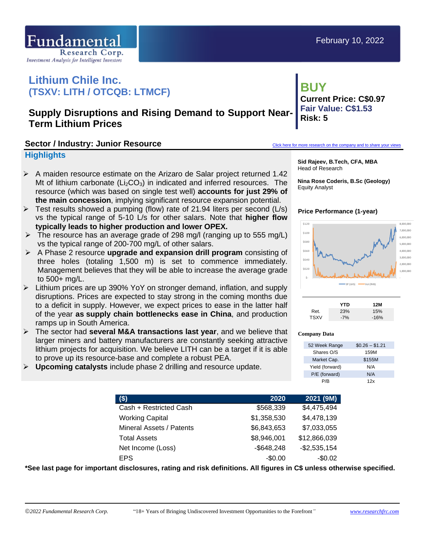

# **Lithium Chile Inc. (TSXV: LITH / OTCQB: LTMCF)**

## **Supply Disruptions and Rising Demand to Support Near-Term Lithium Prices**

#### Sector / **Industry: Junior Resource [Click here for more research on the company and to share your views](https://www.researchfrc.com/company/lithium-chile-inc/)**

#### **Highlights**

- $\triangleright$  A maiden resource estimate on the Arizaro de Salar project returned 1.42 Mt of lithium carbonate  $(Li<sub>2</sub>CO<sub>3</sub>)$  in indicated and inferred resources. The resource (which was based on single test well) **accounts for just 29% of the main concession**, implying significant resource expansion potential.
- $\triangleright$  Test results showed a pumping (flow) rate of 21.94 liters per second (L/s) vs the typical range of 5-10 L/s for other salars. Note that **higher flow typically leads to higher production and lower OPEX.**
- $\triangleright$  The resource has an average grade of 298 mg/l (ranging up to 555 mg/L) vs the typical range of 200-700 mg/L of other salars.
- ➢ A Phase 2 resource **upgrade and expansion drill program** consisting of three holes (totaling 1,500 m) is set to commence immediately. Management believes that they will be able to increase the average grade to 500+ mg/L.
- ➢ Lithium prices are up 390% YoY on stronger demand, inflation, and supply disruptions. Prices are expected to stay strong in the coming months due to a deficit in supply. However, we expect prices to ease in the latter half of the year **as supply chain bottlenecks ease in China**, and production ramps up in South America.
- ➢ The sector had **several M&A transactions last year**, and we believe that larger miners and battery manufacturers are constantly seeking attractive lithium projects for acquisition. We believe LITH can be a target if it is able to prove up its resource-base and complete a robust PEA.
- ➢ **Upcoming catalysts** include phase 2 drilling and resource update.

## **BUY Current Price: C\$0.97 Fair Value: C\$1.53 Risk: 5**

**Sid Rajeev, B.Tech, CFA, MBA** Head of Research

**Nina Rose Coderis, B.Sc (Geology)** Equity Analyst

#### **Price Performance (1-year)**



|             | YTD   | 12M    |
|-------------|-------|--------|
| Ret.        | 23%   | 15%    |
| <b>TSXV</b> | $-7%$ | $-16%$ |

#### **Company Data**

| 52 Week Range   | $$0.26 - $1.21$ |
|-----------------|-----------------|
| Shares O/S      | 159M            |
| Market Cap.     | \$155M          |
| Yield (forward) | N/A             |
| P/E (forward)   | N/A             |
| P/R             | 12x             |

| 2020          | 2021 (9M)     |
|---------------|---------------|
| \$568,339     | \$4,475,494   |
| \$1,358,530   | \$4,478,139   |
| \$6,843,653   | \$7,033,055   |
| \$8,946,001   | \$12,866,039  |
| $-$ \$648,248 | $-$2,535,154$ |
| $-$0.00$      | $-$0.02$      |
|               |               |

**\*See last page for important disclosures, rating and risk definitions. All figures in C\$ unless otherwise specified.**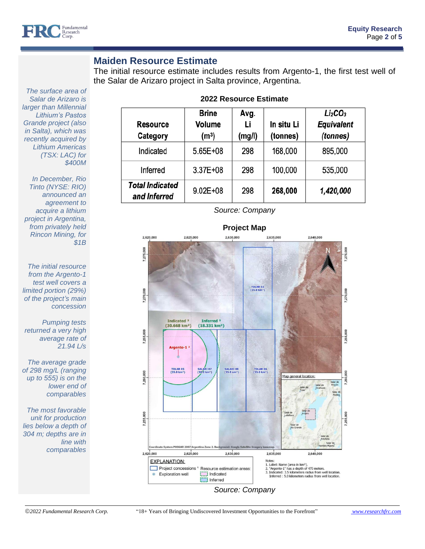

### **Maiden Resource Estimate**

The initial resource estimate includes results from Argento-1, the first test well of the Salar de Arizaro project in Salta province, Argentina.

| <b>Resource</b><br>Category            | <b>Brine</b><br>Volume<br>(m <sup>3</sup> ) | Avg.<br>Li<br>(mg/l) | In situ Li<br>(tonnes) | Li <sub>2</sub> CO <sub>3</sub><br><b>Equivalent</b><br>(tonnes) |  |  |  |  |  |
|----------------------------------------|---------------------------------------------|----------------------|------------------------|------------------------------------------------------------------|--|--|--|--|--|
| Indicated                              | 5.65E+08                                    | 298                  | 168,000                | 895,000                                                          |  |  |  |  |  |
| Inferred                               | 3.37E+08                                    | 298                  | 100,000                | 535,000                                                          |  |  |  |  |  |
| <b>Total Indicated</b><br>and Inferred | $9.02E + 08$                                | 298                  | 268,000                | 1,420,000                                                        |  |  |  |  |  |

#### **2022 Resource Estimate**

*The surface area of Salar de Arizaro is larger than Millennial Lithium's Pastos Grande project (also in Salta), which was recently acquired by Lithium Americas (TSX: LAC) for \$400M*

*In December, Rio Tinto (NYSE: RIO) announced an agreement to acquire a lithium project in Argentina, from privately held Rincon Mining, for \$1B*

*The initial resource from the Argento-1 test well covers a limited portion (29%) of the project's main concession*

*Pumping tests returned a very high average rate of 21.94 L/s*

*The average grade of 298 mg/L (ranging up to 555) is on the lower end of comparables*

*The most favorable unit for production lies below a depth of 304 m; depths are in line with comparables*

*Source: Company*

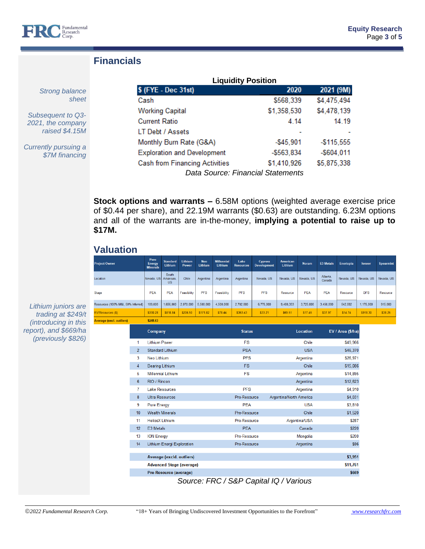

## **Financials**

*Strong balance sheet*

*Subsequent to Q3- 2021, the company raised \$4.15M*

*Currently pursuing a \$7M financing*

| <b>Liquidity Position</b>             |             |               |  |  |  |  |
|---------------------------------------|-------------|---------------|--|--|--|--|
| \$ (FYE - Dec 31st)                   | 2020        | 2021 (9M)     |  |  |  |  |
| Cash                                  | \$568,339   | \$4,475,494   |  |  |  |  |
| <b>Working Capital</b>                | \$1,358,530 | \$4,478,139   |  |  |  |  |
| <b>Current Ratio</b>                  | 4.14        | 14.19         |  |  |  |  |
| LT Debt / Assets                      |             |               |  |  |  |  |
| Monthly Burn Rate (G&A)               | $-$45,901$  | $-$ \$115,555 |  |  |  |  |
| <b>Exploration and Development</b>    | $-$563,834$ | $-$604.011$   |  |  |  |  |
| <b>Cash from Financing Activities</b> | \$1,410,926 | \$5,875,338   |  |  |  |  |
| Data Source: Financial Statements     |             |               |  |  |  |  |

**Stock options and warrants –** 6.58M options (weighted average exercise price of \$0.44 per share), and 22.19M warrants (\$0.63) are outstanding. 6.23M options and all of the warrants are in-the-money, **implying a potential to raise up to \$17M.**

## **Valuation**

| <b>Project Owner</b>                                                                                                                                 |                                                                                | Pure<br><b>Energy</b><br><b>Minerals</b> | <b>Standard</b><br>Lithium      | Lithium<br>Power           | <b>Neo</b><br>Lithium | <b>Millennial</b><br><b>Lithium</b>     | Lake<br><b>Resources</b>      | <b>Cypress</b><br><b>Development</b> | American<br><b>Lithium</b> | <b>Noram</b>    | <b>E3 Metals</b>   | Enertopia         | loneer     | <b>Spearmint</b> |
|------------------------------------------------------------------------------------------------------------------------------------------------------|--------------------------------------------------------------------------------|------------------------------------------|---------------------------------|----------------------------|-----------------------|-----------------------------------------|-------------------------------|--------------------------------------|----------------------------|-----------------|--------------------|-------------------|------------|------------------|
| Location                                                                                                                                             |                                                                                | Nevada, US                               | South<br>Arkansas,<br><b>US</b> | <b>Chile</b>               | Argentina             | Argentina                               | Argentina                     | Nevada, US                           | Nevada, US                 | Nevada, US      | Alberta,<br>Canada | Nevada, US        | Nevada, US | Nevada, US       |
| <b>Stage</b>                                                                                                                                         |                                                                                | <b>PEA</b>                               | <b>PEA</b>                      | Feasibility                | <b>PFS</b>            | Feasibility                             | <b>PFS</b>                    | <b>PFS</b>                           | Resource                   | <b>PEA</b>      | <b>PEA</b>         | Resource          | <b>DFS</b> | Resource         |
| Resources (100% M&I, 50% Inferred)                                                                                                                   |                                                                                | 109,000                                  | 1,656,000                       | 2,070,000                  | 5,500,000             | 4,500,000                               | 2,702,000                     | 6,775,000                            | 9,480,333                  | 3,725,000       | 3,450,000          | 542,592           | 1,175,000  | 915,000          |
| <b>EV/Resources (\$)</b>                                                                                                                             |                                                                                | \$330.28                                 | \$818.84                        | \$206.50                   | \$171.82              | \$78.44                                 | \$363.43                      | \$33.21                              | \$69.51                    | \$17.45         | \$37.97            | \$14.74           | \$918.30   | \$38.25          |
| <b>Average (excl. outliers)</b>                                                                                                                      |                                                                                | \$248.63                                 |                                 |                            |                       |                                         |                               |                                      |                            |                 |                    |                   |            |                  |
|                                                                                                                                                      |                                                                                | Company                                  |                                 |                            |                       |                                         | <b>Status</b>                 |                                      |                            | <b>Location</b> |                    | EV / Area (\$/ha) |            |                  |
| <b>Lithium Power</b><br>1<br>$\overline{2}$<br><b>Standard Lithium</b><br>3<br><b>Neo Lithium</b>                                                    |                                                                                |                                          |                                 |                            |                       |                                         | <b>FS</b>                     |                                      |                            | Chile           |                    | \$49,966          |            |                  |
|                                                                                                                                                      |                                                                                |                                          |                                 |                            |                       | <b>PEA</b>                              |                               |                                      | <b>USA</b>                 | \$46,370        |                    |                   |            |                  |
|                                                                                                                                                      |                                                                                |                                          | <b>PFS</b>                      |                            |                       |                                         | Argentina                     |                                      | \$26,971                   |                 |                    |                   |            |                  |
|                                                                                                                                                      | 4<br><b>Bearing Lithium</b>                                                    |                                          |                                 | <b>FS</b>                  |                       |                                         | Chile                         |                                      | \$15,086                   |                 |                    |                   |            |                  |
|                                                                                                                                                      | 5<br><b>Millennial Lithium</b>                                                 |                                          |                                 |                            | <b>FS</b>             |                                         |                               | Argentina                            | \$14,895                   |                 |                    |                   |            |                  |
|                                                                                                                                                      | 6<br>RIO / Rincon                                                              |                                          |                                 |                            |                       | Argentina                               |                               |                                      | \$12,623                   |                 |                    |                   |            |                  |
| 7<br><b>Lake Resources</b><br>8<br><b>Ultra Resources</b><br>9<br><b>Pure Energy</b><br><b>Wealth Minerals</b><br>10<br><b>HeliosX Lithium</b><br>11 |                                                                                |                                          |                                 |                            | <b>PFS</b>            |                                         | Argentina                     |                                      |                            | \$4,910         |                    |                   |            |                  |
|                                                                                                                                                      |                                                                                |                                          |                                 |                            |                       | Pre-Resource<br>Argentina/North America |                               |                                      | \$4,031                    |                 |                    |                   |            |                  |
|                                                                                                                                                      |                                                                                |                                          |                                 |                            |                       | <b>PEA</b><br><b>USA</b>                |                               |                                      |                            | \$3,810         |                    |                   |            |                  |
|                                                                                                                                                      |                                                                                |                                          |                                 |                            |                       |                                         | Chile<br>Pre-Resource         |                                      |                            |                 | \$1,520            |                   |            |                  |
|                                                                                                                                                      |                                                                                |                                          |                                 |                            |                       |                                         | Argentina/USA<br>Pre-Resource |                                      |                            |                 | \$287              |                   |            |                  |
|                                                                                                                                                      | 12<br>E3 Metals<br>13<br><b>ION Energy</b><br>Lithium Energi Exploration<br>14 |                                          |                                 | <b>PEA</b><br>Pre-Resource |                       |                                         | Canada<br>Mongolia            |                                      |                            | \$220           |                    |                   |            |                  |
|                                                                                                                                                      |                                                                                |                                          |                                 |                            |                       |                                         |                               |                                      |                            | \$200           |                    |                   |            |                  |
|                                                                                                                                                      |                                                                                |                                          |                                 |                            | Pre-Resource          |                                         |                               | Argentina                            | \$96                       |                 |                    |                   |            |                  |
|                                                                                                                                                      |                                                                                |                                          | Average (excld. outliers)       |                            |                       |                                         |                               |                                      |                            |                 |                    | \$3,951           |            |                  |
|                                                                                                                                                      |                                                                                |                                          | <b>Advanced Stage (average)</b> |                            |                       |                                         |                               |                                      |                            |                 |                    | \$11,761          |            |                  |
|                                                                                                                                                      |                                                                                |                                          | Pre-Resource (average)          |                            |                       |                                         |                               |                                      |                            |                 |                    | \$669             |            |                  |
|                                                                                                                                                      |                                                                                |                                          |                                 |                            |                       |                                         |                               |                                      |                            |                 |                    |                   |            |                  |

*Source: FRC / S&P Capital IQ / Various*

*Lithium juniors are trading at \$249/t (introducing in this report), and \$669/ha (previously \$826)*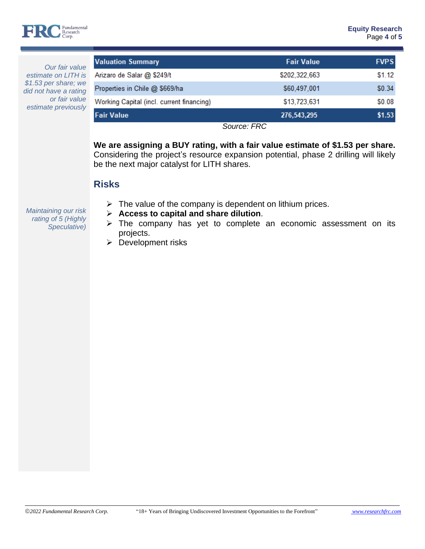

*Our fair value estimate on LITH is \$1.53 per share; we did not have a rating or fair value estimate previously*

| <b>Valuation Summary</b>                  | <b>Fair Value</b> | <b>FVPS</b> |
|-------------------------------------------|-------------------|-------------|
| Arizaro de Salar @ \$249/t                | \$202,322,663     | \$1.12      |
| Properties in Chile @ \$669/ha            | \$60,497,001      | \$0.34      |
| Working Capital (incl. current financing) | \$13,723,631      | \$0.08      |
| <b>Fair Value</b>                         | 276,543,295       | \$1.53      |

*Source: FRC*

**We are assigning a BUY rating, with a fair value estimate of \$1.53 per share.** Considering the project's resource expansion potential, phase 2 drilling will likely be the next major catalyst for LITH shares.

## **Risks**

*Maintaining our risk rating of 5 (Highly Speculative)*

- $\triangleright$  The value of the company is dependent on lithium prices.
- ➢ **Access to capital and share dilution**.
- ➢ The company has yet to complete an economic assessment on its projects.
- ➢ Development risks